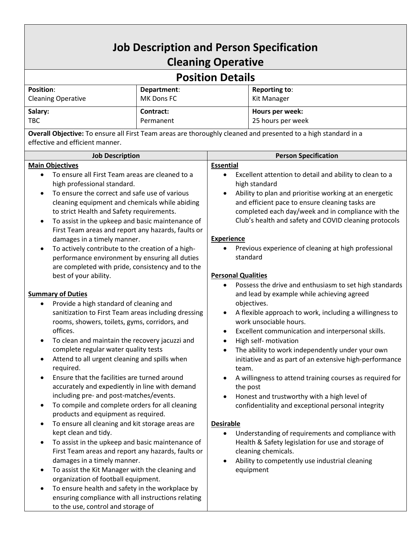## **Job Description and Person Specification Cleaning Operative**

## **Position Details**

| <b>Position:</b>          | Department: | Reporting to:     |  |
|---------------------------|-------------|-------------------|--|
| <b>Cleaning Operative</b> | MK Dons FC  | Kit Manager       |  |
| Salary:                   | Contract:   | Hours per week:   |  |
| <b>TBC</b>                | Permanent   | 25 hours per week |  |

**Overall Objective:** To ensure all First Team areas are thoroughly cleaned and presented to a high standard in a effective and efficient manner.

| <b>Job Description</b>                                                                                                                                                                                                                                                                                                                                                                                                                                                                                                                                                                                                                                                                                                                                                                                                                                                                                                                        | <b>Person Specification</b>                                                                                                                                                                                                                                                                                                                                                                                                                                                                                                                                                                                                                                                                                                                                                                                                |  |
|-----------------------------------------------------------------------------------------------------------------------------------------------------------------------------------------------------------------------------------------------------------------------------------------------------------------------------------------------------------------------------------------------------------------------------------------------------------------------------------------------------------------------------------------------------------------------------------------------------------------------------------------------------------------------------------------------------------------------------------------------------------------------------------------------------------------------------------------------------------------------------------------------------------------------------------------------|----------------------------------------------------------------------------------------------------------------------------------------------------------------------------------------------------------------------------------------------------------------------------------------------------------------------------------------------------------------------------------------------------------------------------------------------------------------------------------------------------------------------------------------------------------------------------------------------------------------------------------------------------------------------------------------------------------------------------------------------------------------------------------------------------------------------------|--|
| <b>Main Objectives</b>                                                                                                                                                                                                                                                                                                                                                                                                                                                                                                                                                                                                                                                                                                                                                                                                                                                                                                                        | <b>Essential</b>                                                                                                                                                                                                                                                                                                                                                                                                                                                                                                                                                                                                                                                                                                                                                                                                           |  |
| To ensure all First Team areas are cleaned to a<br>$\bullet$<br>high professional standard.                                                                                                                                                                                                                                                                                                                                                                                                                                                                                                                                                                                                                                                                                                                                                                                                                                                   | Excellent attention to detail and ability to clean to a<br>$\bullet$<br>high standard                                                                                                                                                                                                                                                                                                                                                                                                                                                                                                                                                                                                                                                                                                                                      |  |
| To ensure the correct and safe use of various<br>$\bullet$<br>cleaning equipment and chemicals while abiding<br>to strict Health and Safety requirements.<br>To assist in the upkeep and basic maintenance of<br>$\bullet$<br>First Team areas and report any hazards, faults or<br>damages in a timely manner.                                                                                                                                                                                                                                                                                                                                                                                                                                                                                                                                                                                                                               | Ability to plan and prioritise working at an energetic<br>and efficient pace to ensure cleaning tasks are<br>completed each day/week and in compliance with the<br>Club's health and safety and COVID cleaning protocols<br><b>Experience</b>                                                                                                                                                                                                                                                                                                                                                                                                                                                                                                                                                                              |  |
| To actively contribute to the creation of a high-<br>٠<br>performance environment by ensuring all duties<br>are completed with pride, consistency and to the                                                                                                                                                                                                                                                                                                                                                                                                                                                                                                                                                                                                                                                                                                                                                                                  | Previous experience of cleaning at high professional<br>standard<br><b>Personal Qualities</b>                                                                                                                                                                                                                                                                                                                                                                                                                                                                                                                                                                                                                                                                                                                              |  |
| best of your ability.<br><b>Summary of Duties</b><br>Provide a high standard of cleaning and<br>$\bullet$<br>sanitization to First Team areas including dressing<br>rooms, showers, toilets, gyms, corridors, and<br>offices.<br>To clean and maintain the recovery jacuzzi and<br>٠<br>complete regular water quality tests<br>Attend to all urgent cleaning and spills when<br>٠<br>required.<br>Ensure that the facilities are turned around<br>$\bullet$<br>accurately and expediently in line with demand<br>including pre- and post-matches/events.<br>To compile and complete orders for all cleaning<br>٠<br>products and equipment as required.<br>To ensure all cleaning and kit storage areas are<br>$\bullet$<br>kept clean and tidy.<br>To assist in the upkeep and basic maintenance of<br>First Team areas and report any hazards, faults or<br>damages in a timely manner.<br>To assist the Kit Manager with the cleaning and | Possess the drive and enthusiasm to set high standards<br>and lead by example while achieving agreed<br>objectives.<br>A flexible approach to work, including a willingness to<br>work unsociable hours.<br>Excellent communication and interpersonal skills.<br>٠<br>High self- motivation<br>The ability to work independently under your own<br>initiative and as part of an extensive high-performance<br>team.<br>A willingness to attend training courses as required for<br>the post<br>Honest and trustworthy with a high level of<br>confidentiality and exceptional personal integrity<br><b>Desirable</b><br>Understanding of requirements and compliance with<br>٠<br>Health & Safety legislation for use and storage of<br>cleaning chemicals.<br>Ability to competently use industrial cleaning<br>equipment |  |
| organization of football equipment.<br>To ensure health and safety in the workplace by<br>ensuring compliance with all instructions relating<br>to the use, control and storage of                                                                                                                                                                                                                                                                                                                                                                                                                                                                                                                                                                                                                                                                                                                                                            |                                                                                                                                                                                                                                                                                                                                                                                                                                                                                                                                                                                                                                                                                                                                                                                                                            |  |